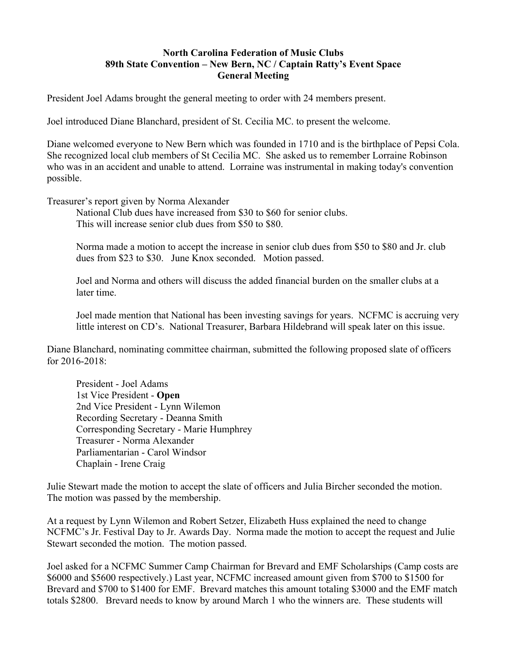## **North Carolina Federation of Music Clubs 89th State Convention – New Bern, NC / Captain Ratty's Event Space General Meeting**

President Joel Adams brought the general meeting to order with 24 members present.

Joel introduced Diane Blanchard, president of St. Cecilia MC. to present the welcome.

Diane welcomed everyone to New Bern which was founded in 1710 and is the birthplace of Pepsi Cola. She recognized local club members of St Cecilia MC. She asked us to remember Lorraine Robinson who was in an accident and unable to attend. Lorraine was instrumental in making today's convention possible.

Treasurer's report given by Norma Alexander

National Club dues have increased from \$30 to \$60 for senior clubs. This will increase senior club dues from \$50 to \$80.

Norma made a motion to accept the increase in senior club dues from \$50 to \$80 and Jr. club dues from \$23 to \$30. June Knox seconded. Motion passed.

Joel and Norma and others will discuss the added financial burden on the smaller clubs at a later time.

Joel made mention that National has been investing savings for years. NCFMC is accruing very little interest on CD's. National Treasurer, Barbara Hildebrand will speak later on this issue.

Diane Blanchard, nominating committee chairman, submitted the following proposed slate of officers for 2016-2018:

President - Joel Adams 1st Vice President - **Open** 2nd Vice President - Lynn Wilemon Recording Secretary - Deanna Smith Corresponding Secretary - Marie Humphrey Treasurer - Norma Alexander Parliamentarian - Carol Windsor Chaplain - Irene Craig

Julie Stewart made the motion to accept the slate of officers and Julia Bircher seconded the motion. The motion was passed by the membership.

At a request by Lynn Wilemon and Robert Setzer, Elizabeth Huss explained the need to change NCFMC's Jr. Festival Day to Jr. Awards Day. Norma made the motion to accept the request and Julie Stewart seconded the motion. The motion passed.

Joel asked for a NCFMC Summer Camp Chairman for Brevard and EMF Scholarships (Camp costs are \$6000 and \$5600 respectively.) Last year, NCFMC increased amount given from \$700 to \$1500 for Brevard and \$700 to \$1400 for EMF. Brevard matches this amount totaling \$3000 and the EMF match totals \$2800. Brevard needs to know by around March 1 who the winners are. These students will